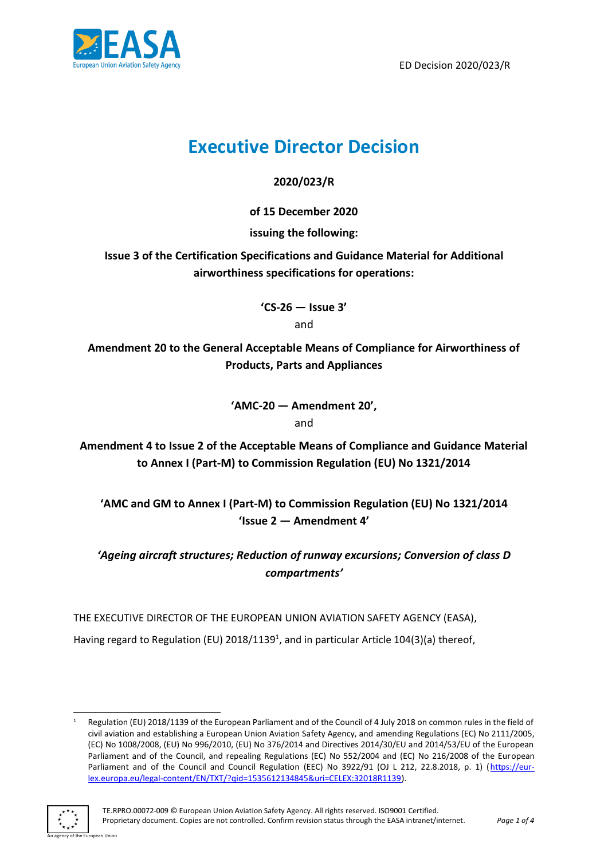

ED Decision 2020/023/R

# **Executive Director Decision**

**2020/023/R**

**of 15 December 2020**

**issuing the following:**

**Issue 3 of the Certification Specifications and Guidance Material for Additional airworthiness specifications for operations:**

> **'CS-26 — Issue 3'** and

**Amendment 20 to the General Acceptable Means of Compliance for Airworthiness of Products, Parts and Appliances**

> **'AMC-20 — Amendment 20',**  and

**Amendment 4 to Issue 2 of the Acceptable Means of Compliance and Guidance Material to Annex I (Part-M) to Commission Regulation (EU) No 1321/2014**

**'AMC and GM to Annex I (Part-M) to Commission Regulation (EU) No 1321/2014 'Issue 2 — Amendment 4'**

*'Ageing aircraft structures; Reduction of runway excursions; Conversion of class D compartments'*

THE EXECUTIVE DIRECTOR OF THE EUROPEAN UNION AVIATION SAFETY AGENCY (EASA),

Having regard to Regulation (EU) 2018/1139<sup>1</sup>, and in particular Article 104(3)(a) thereof,

Regulation (EU) 2018/1139 of the European Parliament and of the Council of 4 July 2018 on common rules in the field of civil aviation and establishing a European Union Aviation Safety Agency, and amending Regulations (EC) No 2111/2005, (EC) No 1008/2008, (EU) No 996/2010, (EU) No 376/2014 and Directives 2014/30/EU and 2014/53/EU of the European Parliament and of the Council, and repealing Regulations (EC) No 552/2004 and (EC) No 216/2008 of the European Parliament and of the Council and Council Regulation (EEC) No 3922/91 (OJ L 212, 22.8.2018, p. 1) [\(https://eur](https://eur-lex.europa.eu/legal-content/EN/TXT/?qid=1535612134845&uri=CELEX:32018R1139)[lex.europa.eu/legal-content/EN/TXT/?qid=1535612134845&uri=CELEX:32018R1139\)](https://eur-lex.europa.eu/legal-content/EN/TXT/?qid=1535612134845&uri=CELEX:32018R1139).

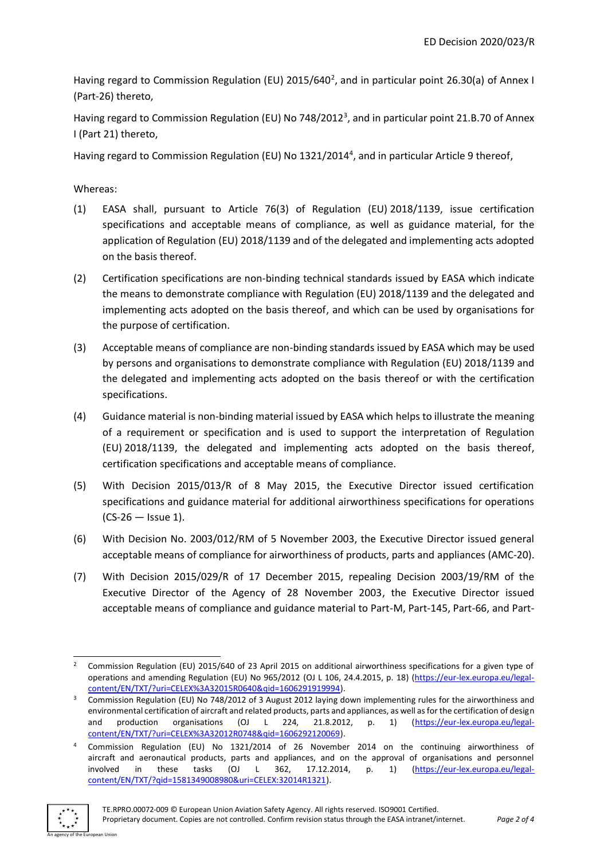Having regard to Commission Regulation (EU) 2015/640<sup>2</sup>, and in particular point 26.30(a) of Annex I (Part-26) thereto,

Having regard to Commission Regulation (EU) No 748/2012<sup>3</sup>, and in particular point 21.B.70 of Annex I (Part 21) thereto,

Having regard to Commission Regulation (EU) No 1321/2014<sup>4</sup>, and in particular Article 9 thereof,

Whereas:

- (1) EASA shall, pursuant to Article 76(3) of Regulation (EU) 2018/1139, issue certification specifications and acceptable means of compliance, as well as guidance material, for the application of Regulation (EU) 2018/1139 and of the delegated and implementing acts adopted on the basis thereof.
- (2) Certification specifications are non-binding technical standards issued by EASA which indicate the means to demonstrate compliance with Regulation (EU) 2018/1139 and the delegated and implementing acts adopted on the basis thereof, and which can be used by organisations for the purpose of certification.
- (3) Acceptable means of compliance are non-binding standards issued by EASA which may be used by persons and organisations to demonstrate compliance with Regulation (EU) 2018/1139 and the delegated and implementing acts adopted on the basis thereof or with the certification specifications.
- (4) Guidance material is non-binding material issued by EASA which helps to illustrate the meaning of a requirement or specification and is used to support the interpretation of Regulation (EU) 2018/1139, the delegated and implementing acts adopted on the basis thereof, certification specifications and acceptable means of compliance.
- (5) With Decision 2015/013/R of 8 May 2015, the Executive Director issued certification specifications and guidance material for additional airworthiness specifications for operations (CS-26 — Issue 1).
- (6) With Decision No. 2003/012/RM of 5 November 2003, the Executive Director issued general acceptable means of compliance for airworthiness of products, parts and appliances (AMC-20).
- (7) With Decision 2015/029/R of 17 December 2015, repealing Decision 2003/19/RM of the Executive Director of the Agency of 28 November 2003, the Executive Director issued acceptable means of compliance and guidance material to Part-M, Part-145, Part-66, and Part-

<sup>4</sup> Commission Regulation (EU) No 1321/2014 of 26 November 2014 on the continuing airworthiness of aircraft and aeronautical products, parts and appliances, and on the approval of organisations and personnel involved in these tasks (OJ L 362, 17.12.2014, p. 1) [\(https://eur-lex.europa.eu/legal](https://eur-lex.europa.eu/legal-content/EN/TXT/?qid=1581349008980&uri=CELEX:32014R1321)[content/EN/TXT/?qid=1581349008980&uri=CELEX:32014R1321\)](https://eur-lex.europa.eu/legal-content/EN/TXT/?qid=1581349008980&uri=CELEX:32014R1321).



an Union

<sup>&</sup>lt;sup>2</sup> Commission Regulation (EU) 2015/640 of 23 April 2015 on additional airworthiness specifications for a given type of operations and amending Regulation (EU) No 965/2012 (OJ L 106, 24.4.2015, p. 18) [\(https://eur-lex.europa.eu/legal](https://eur-lex.europa.eu/legal-content/EN/TXT/?uri=CELEX%3A32015R0640&qid=1606291919994)[content/EN/TXT/?uri=CELEX%3A32015R0640&qid=1606291919994\)](https://eur-lex.europa.eu/legal-content/EN/TXT/?uri=CELEX%3A32015R0640&qid=1606291919994).

<sup>&</sup>lt;sup>3</sup> Commission Regulation (EU) No 748/2012 of 3 August 2012 laying down implementing rules for the airworthiness and environmental certification of aircraft and related products, parts and appliances, as well as for the certification of design and production organisations (OJ L 224, 21.8.2012, p. 1) [\(https://eur-lex.europa.eu/legal](https://eur-lex.europa.eu/legal-content/EN/TXT/?uri=CELEX%3A32012R0748&qid=1606292120069)[content/EN/TXT/?uri=CELEX%3A32012R0748&qid=1606292120069\)](https://eur-lex.europa.eu/legal-content/EN/TXT/?uri=CELEX%3A32012R0748&qid=1606292120069).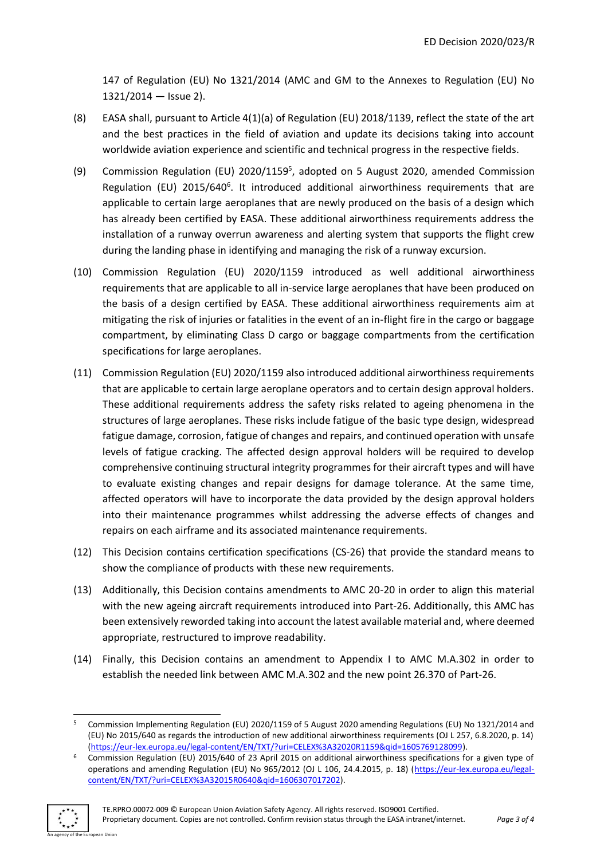147 of Regulation (EU) No 1321/2014 (AMC and GM to the Annexes to Regulation (EU) No 1321/2014 — Issue 2).

- (8) EASA shall, pursuant to Article 4(1)(a) of Regulation (EU) 2018/1139, reflect the state of the art and the best practices in the field of aviation and update its decisions taking into account worldwide aviation experience and scientific and technical progress in the respective fields.
- (9) Commission Regulation (EU) 2020/1159<sup>5</sup>, adopted on 5 August 2020, amended Commission Regulation (EU) 2015/640<sup>6</sup>. It introduced additional airworthiness requirements that are applicable to certain large aeroplanes that are newly produced on the basis of a design which has already been certified by EASA. These additional airworthiness requirements address the installation of a runway overrun awareness and alerting system that supports the flight crew during the landing phase in identifying and managing the risk of a runway excursion.
- (10) Commission Regulation (EU) 2020/1159 introduced as well additional airworthiness requirements that are applicable to all in-service large aeroplanes that have been produced on the basis of a design certified by EASA. These additional airworthiness requirements aim at mitigating the risk of injuries or fatalities in the event of an in-flight fire in the cargo or baggage compartment, by eliminating Class D cargo or baggage compartments from the certification specifications for large aeroplanes.
- (11) Commission Regulation (EU) 2020/1159 also introduced additional airworthiness requirements that are applicable to certain large aeroplane operators and to certain design approval holders. These additional requirements address the safety risks related to ageing phenomena in the structures of large aeroplanes. These risks include fatigue of the basic type design, widespread fatigue damage, corrosion, fatigue of changes and repairs, and continued operation with unsafe levels of fatigue cracking. The affected design approval holders will be required to develop comprehensive continuing structural integrity programmes for their aircraft types and will have to evaluate existing changes and repair designs for damage tolerance. At the same time, affected operators will have to incorporate the data provided by the design approval holders into their maintenance programmes whilst addressing the adverse effects of changes and repairs on each airframe and its associated maintenance requirements.
- (12) This Decision contains certification specifications (CS-26) that provide the standard means to show the compliance of products with these new requirements.
- (13) Additionally, this Decision contains amendments to AMC 20-20 in order to align this material with the new ageing aircraft requirements introduced into Part-26. Additionally, this AMC has been extensively reworded taking into account the latest available material and, where deemed appropriate, restructured to improve readability.
- (14) Finally, this Decision contains an amendment to Appendix I to AMC M.A.302 in order to establish the needed link between AMC M.A.302 and the new point 26.370 of Part-26.

<sup>6</sup> Commission Regulation (EU) 2015/640 of 23 April 2015 on additional airworthiness specifications for a given type of operations and amending Regulation (EU) No 965/2012 (OJ L 106, 24.4.2015, p. 18) [\(https://eur-lex.europa.eu/legal](https://eur-lex.europa.eu/legal-content/EN/TXT/?uri=CELEX%3A32015R0640&qid=1606307017202)[content/EN/TXT/?uri=CELEX%3A32015R0640&qid=1606307017202\)](https://eur-lex.europa.eu/legal-content/EN/TXT/?uri=CELEX%3A32015R0640&qid=1606307017202).



an Union

<sup>5</sup> Commission Implementing Regulation (EU) 2020/1159 of 5 August 2020 amending Regulations (EU) No 1321/2014 and (EU) No 2015/640 as regards the introduction of new additional airworthiness requirements (OJ L 257, 6.8.2020, p. 14) [\(https://eur-lex.europa.eu/legal-content/EN/TXT/?uri=CELEX%3A32020R1159&qid=1605769128099\)](https://eur-lex.europa.eu/legal-content/EN/TXT/?uri=CELEX%3A32020R1159&qid=1605769128099).